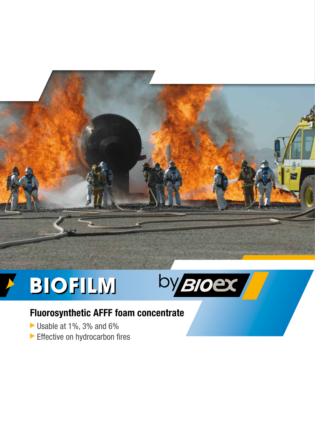

## BIOFILM



## **Fluorosynthetic AFFF foam concentrate**

- Usable at 1%, 3% and 6%
- Effective on hydrocarbon fires